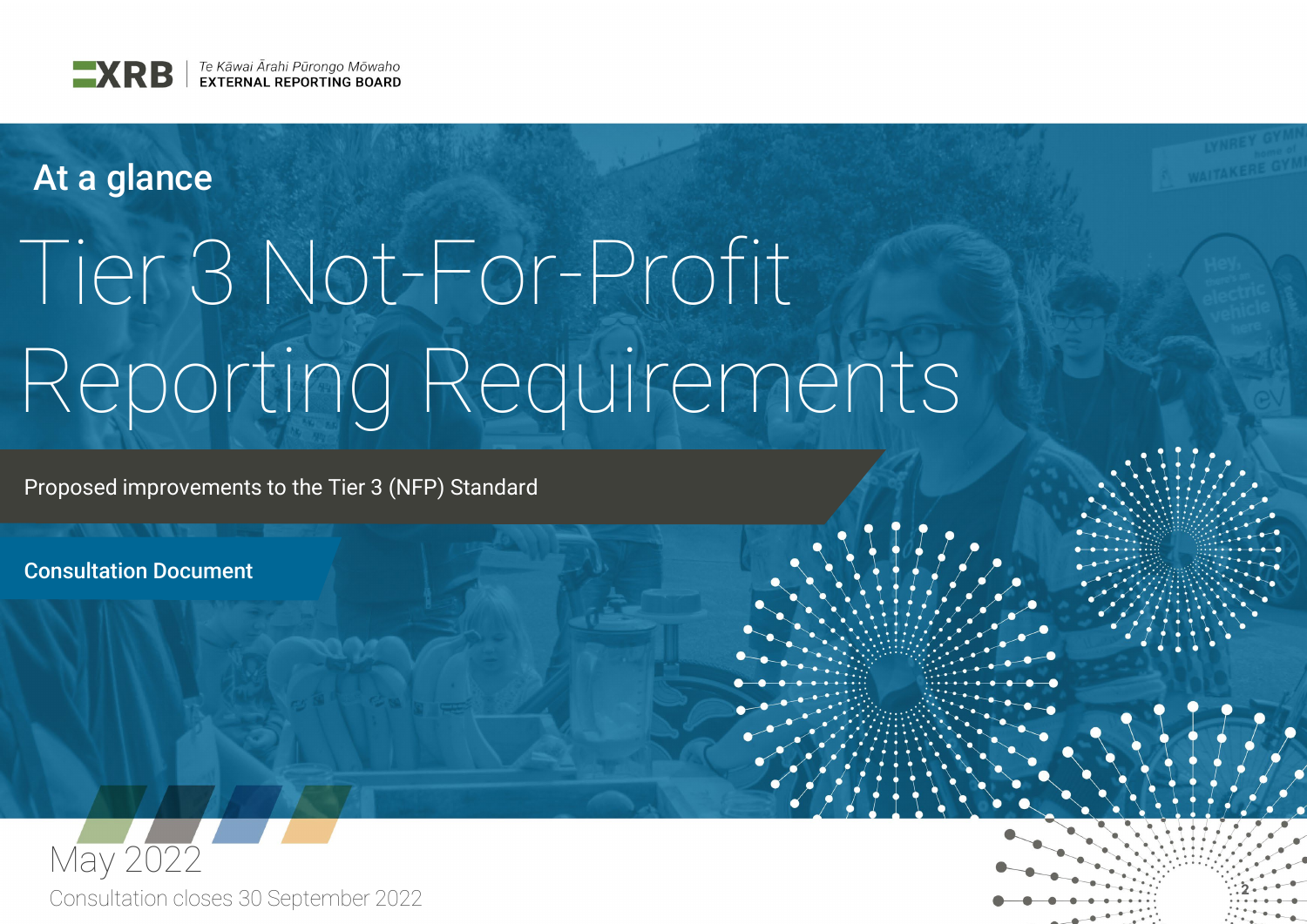

# At a glance

# Tier 3 Not-For-Profit Reporting Requirements

Proposed improvements to the Tier 3 (NFP) Standard

Consultation Document



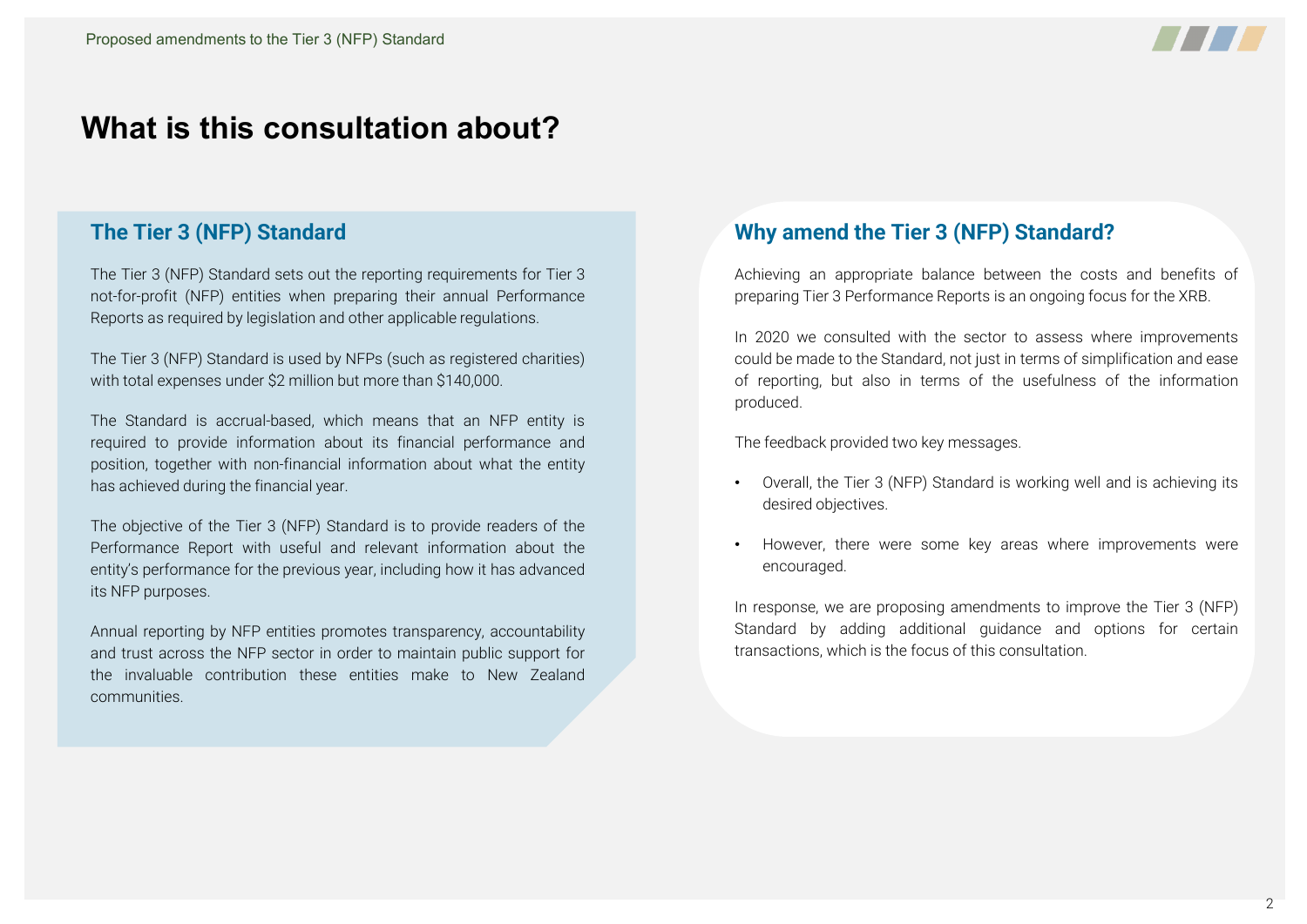

# **What is this consultation about?**

#### **The Tier 3 (NFP) Standard**

The Tier 3 (NFP) Standard sets out the reporting requirements for Tier 3 not-for-profit (NFP) entities when preparing their annual Performance Reports as required by legislation and other applicable regulations.

The Tier 3 (NFP) Standard is used by NFPs (such as registered charities) with total expenses under \$2 million but more than \$140,000.

The Standard is accrual-based, which means that an NFP entity is required to provide information about its financial performance and position, together with non-financial information about what the entity has achieved during the financial year.

The objective of the Tier 3 (NFP) Standard is to provide readers of the Performance Report with useful and relevant information about the entity's performance for the previous year, including how it has advanced its NFP purposes.

Annual reporting by NFP entities promotes transparency, accountability and trust across the NFP sector in order to maintain public support for the invaluable contribution these entities make to New Zealand communities.

#### **Why amend the Tier 3 (NFP) Standard?**

Achieving an appropriate balance between the costs and benefits of preparing Tier 3 Performance Reports is an ongoing focus for the XRB.

In 2020 we consulted with the sector to assess where improvements could be made to the Standard, not just in terms of simplification and ease of reporting, but also in terms of the usefulness of the information produced.

The feedback provided two key messages.

- Overall, the Tier 3 (NFP) Standard is working well and is achieving its desired objectives.
- However, there were some key areas where improvements were encouraged.

In response, we are proposing amendments to improve the Tier 3 (NFP) Standard by adding additional guidance and options for certain transactions, which is the focus of this consultation.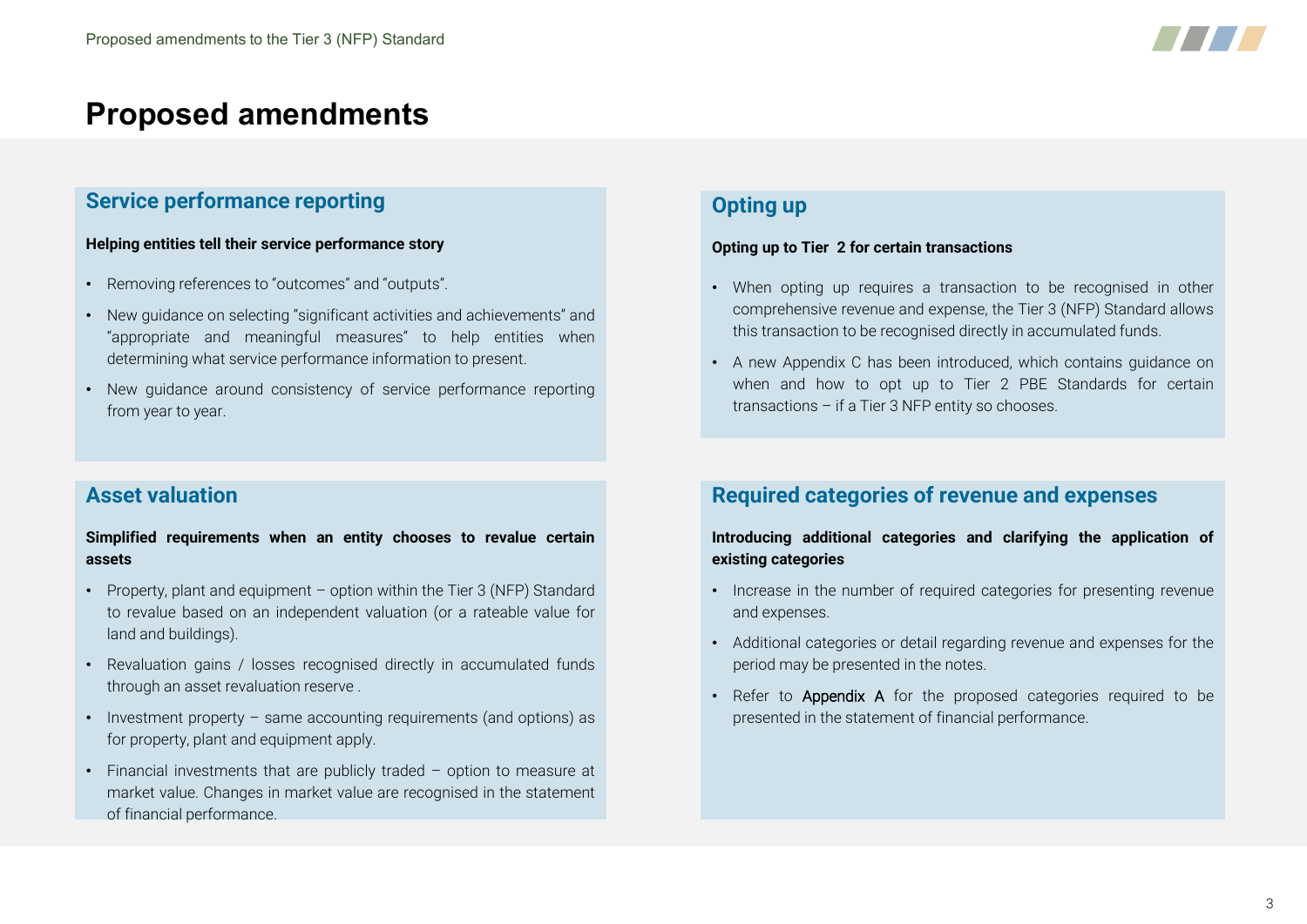

#### **Service performance reporting**

#### **Helping entities tell their service performance story**

- Removing references to "outcomes" and "outputs".
- New guidance on selecting "significant activities and achievements" and "appropriate and meaningful measures" to help entities when determining what service performance information to present.
- New guidance around consistency of service performance reporting from year to year.

#### **Asset valuation**

#### **Simplified requirements when an entity chooses to revalue certain assets**

- Property, plant and equipment option within the Tier 3 (NFP) Standard to revalue based on an independent valuation (or a rateable value for land and buildings).
- Revaluation gains / losses recognised directly in accumulated funds through an asset revaluation reserve .
- Investment property same accounting requirements (and options) as for property, plant and equipment apply.
- Financial investments that are publicly traded option to measure at market value. Changes in market value are recognised in the statement of financial performance.

#### **Opting up**

#### **Opting up to Tier 2 for certain transactions**

- When opting up requires a transaction to be recognised in other comprehensive revenue and expense, the Tier 3 (NFP) Standard allows this transaction to be recognised directly in accumulated funds.
- A new Appendix C has been introduced, which contains guidance on when and how to opt up to Tier 2 PBE Standards for certain transactions – if a Tier 3 NFP entity so chooses.

#### **Required categories of revenue and expenses**

#### **Introducing additional categories and clarifying the application of existing categories**

- Increase in the number of required categories for presenting revenue and expenses.
- Additional categories or detail regarding revenue and expenses for the period may be presented in the notes.
- Refer to Appendix A for the proposed categories required to be presented in the statement of financial performance.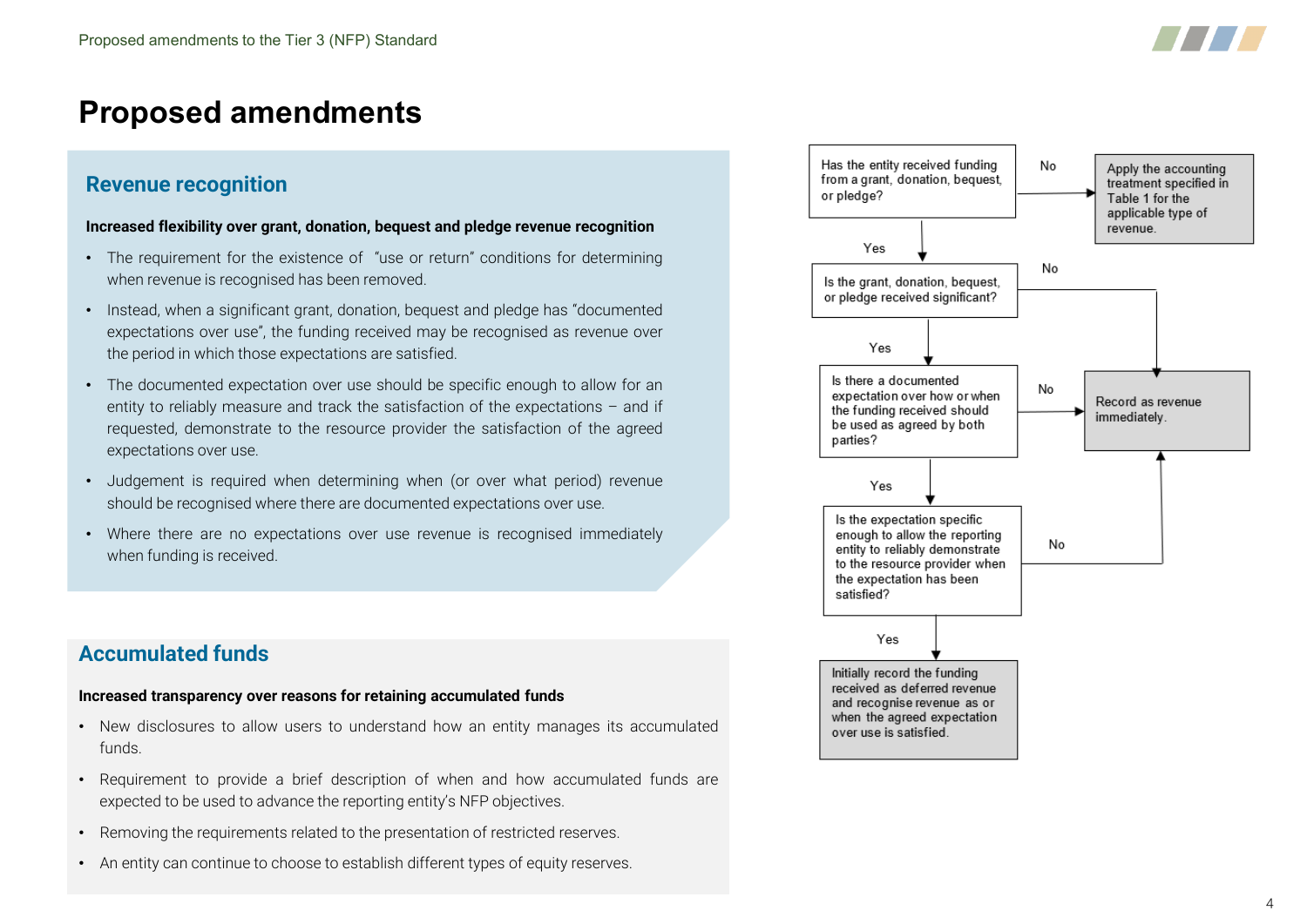

# **Proposed amendments**

#### **Revenue recognition**

#### **Increased flexibility over grant, donation, bequest and pledge revenue recognition**

- The requirement for the existence of "use or return" conditions for determining when revenue is recognised has been removed.
- Instead, when a significant grant, donation, bequest and pledge has "documented expectations over use", the funding received may be recognised as revenue over the period in which those expectations are satisfied.
- The documented expectation over use should be specific enough to allow for an entity to reliably measure and track the satisfaction of the expectations – and if requested, demonstrate to the resource provider the satisfaction of the agreed expectations over use.
- Judgement is required when determining when (or over what period) revenue should be recognised where there are documented expectations over use.
- Where there are no expectations over use revenue is recognised immediately when funding is received.

#### **Accumulated funds**

#### **Increased transparency over reasons for retaining accumulated funds**

- New disclosures to allow users to understand how an entity manages its accumulated funds.
- Requirement to provide a brief description of when and how accumulated funds are expected to be used to advance the reporting entity's NFP objectives.
- Removing the requirements related to the presentation of restricted reserves.
- An entity can continue to choose to establish different types of equity reserves.

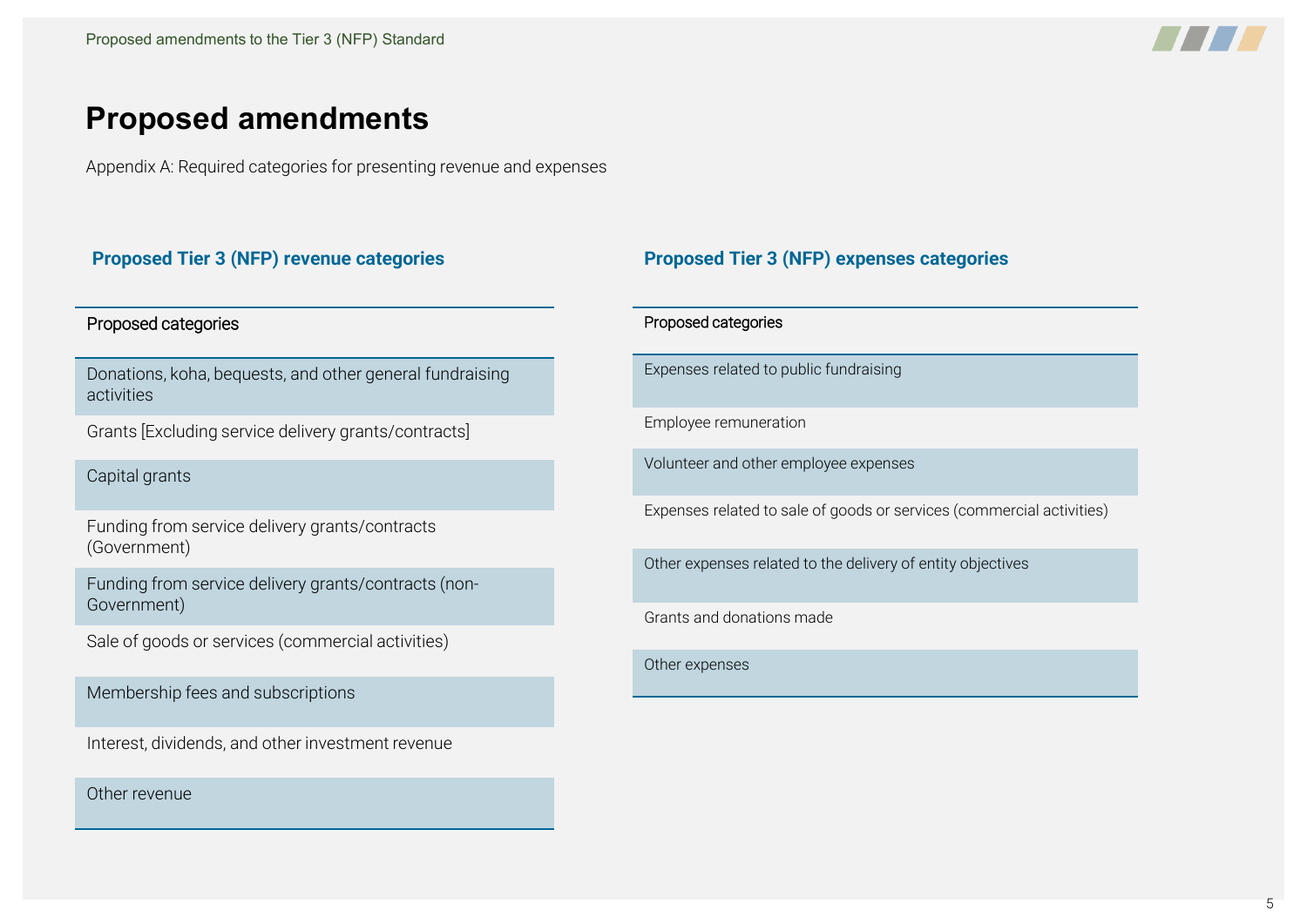

# **Proposed amendments**

Appendix A: Required categories for presenting revenue and expenses

#### Proposed categories

Donations, koha, bequests, and other general fundraising activities

Grants [Excluding service delivery grants/contracts]

Capital grants

Funding from service delivery grants/contracts (Government)

Funding from service delivery grants/contracts (non-Government)

Sale of goods or services (commercial activities)

Membership fees and subscriptions

Interest, dividends, and other investment revenue

Other revenue

#### **Proposed Tier 3 (NFP) revenue categories Proposed Tier 3 (NFP) expenses categories**

#### Proposed categories

Expenses related to public fundraising

Employee remuneration

Volunteer and other employee expenses

Expenses related to sale of goods or services (commercial activities)

Other expenses related to the delivery of entity objectives

Grants and donations made

Other expenses